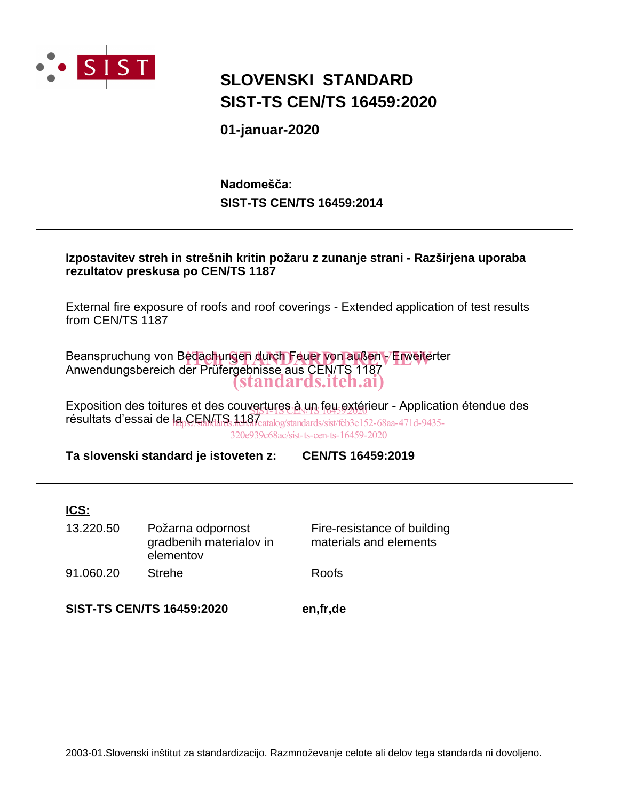

# **SLOVENSKI STANDARD SIST-TS CEN/TS 16459:2020**

**01-januar-2020**

**SIST-TS CEN/TS 16459:2014 Nadomešča:**

#### **Izpostavitev streh in strešnih kritin požaru z zunanje strani - Razširjena uporaba rezultatov preskusa po CEN/TS 1187**

External fire exposure of roofs and roof coverings - Extended application of test results from CEN/TS 1187

Beanspruchung von Bedachungen durch Feuer von außen - Erweiterter<br>Anwendungsbereich der Prüfergebnisse aus CEN/TS 1187 Anwendungsbereich der Prüfergebnisse aus CEN/TS 1187 (standards.iteh.ai)

Exposition des toitures et des couvertures à un feu extérieur - Application étendue des Exposition des toitures et des couvertures en 1845,2020<br>**résultats d'essai de la CEN/TS 1887** catalog/standards/sist/feb3e152 https://standards.iteh.ai/catalog/standards/sist/feb3e152-68aa-471d-9435- 320e939c68ac/sist-ts-cen-ts-16459-2020

**Ta slovenski standard je istoveten z: CEN/TS 16459:2019**

#### **ICS:**

| 13.220.50                        | Požarna odpornost<br>gradbenih materialov in<br>elementov | Fire-resistance of building<br>materials and elements |  |
|----------------------------------|-----------------------------------------------------------|-------------------------------------------------------|--|
| 91.060.20                        | <b>Strehe</b>                                             | Roofs                                                 |  |
| <b>SIST-TS CEN/TS 16459:2020</b> |                                                           | en,fr,de                                              |  |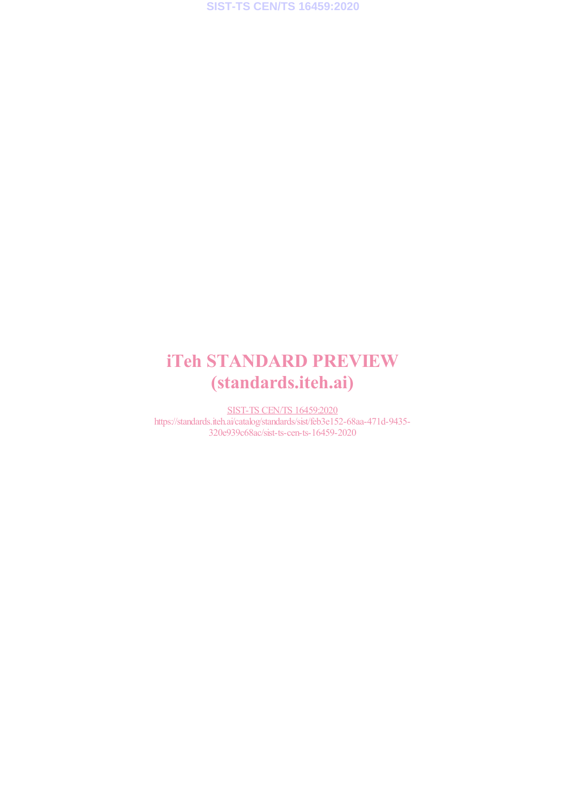# iTeh STANDARD PREVIEW (standards.iteh.ai)

SIST-TS CEN/TS 16459:2020 https://standards.iteh.ai/catalog/standards/sist/feb3e152-68aa-471d-9435- 320e939c68ac/sist-ts-cen-ts-16459-2020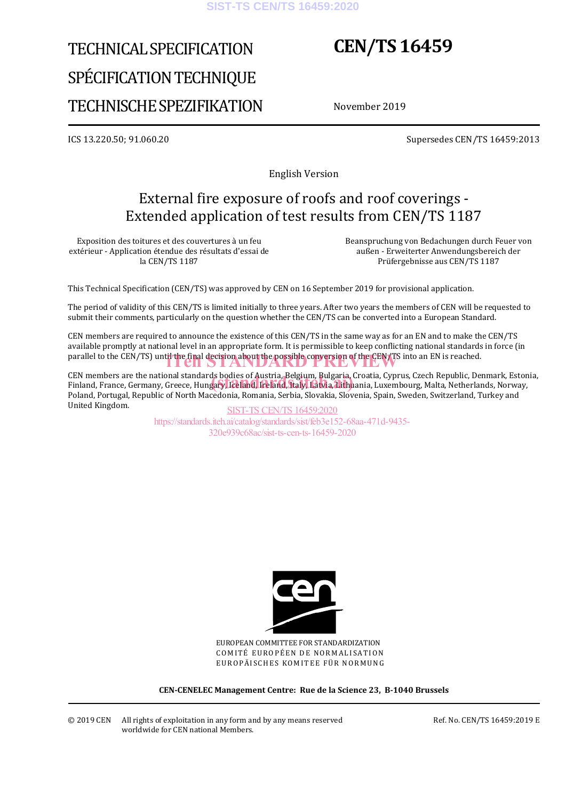#### **SIST-TS CEN/TS 16459:2020**

# TECHNICAL SPECIFICATION SPÉCIFICATION TECHNIQUE TECHNISCHE SPEZIFIKATION

# **CEN/TS 16459**

November 2019

ICS 13.220.50; 91.060.20 Supersedes CEN/TS 16459:2013

English Version

### External fire exposure of roofs and roof coverings - Extended application of test results from CEN/TS 1187

Exposition des toitures et des couvertures à un feu extérieur - Application étendue des résultats d'essai de la CEN/TS 1187

 Beanspruchung von Bedachungen durch Feuer von außen - Erweiterter Anwendungsbereich der Prüfergebnisse aus CEN/TS 1187

This Technical Specification (CEN/TS) was approved by CEN on 16 September 2019 for provisional application.

The period of validity of this CEN/TS is limited initially to three years. After two years the members of CEN will be requested to submit their comments, particularly on the question whether the CEN/TS can be converted into a European Standard.

CEN members are required to announce the existence of this CEN/TS in the same way as for an EN and to make the CEN/TS available promptly at national level in an appropriate form. It is permissible to keep conflicting national standards in force (in parallel to the CEN/TS) until the final decision about the possible conversion of the CEN/TS into an EN is reached.

CEN members are the national standards bodies of Austria, Belgium, Bulgaria, Croatia, Cyprus, Czech Republic, Denmark, Estonia, CEN members are the national standards bodies of Austria, Belgium, Bulgaria, Croatia, Cyprus, Czech Republic, Denmark, Estoi<br>Finland, France, Germany, Greece, Hungary, Iceland, Ireland, Italy, Latvia, Lithuania, Luxembourg Poland, Portugal, Republic of North Macedonia, Romania, Serbia, Slovakia, Slovenia, Spain, Sweden, Switzerland, Turkey and United Kingdom.

SIST-TS CEN/TS 16459:2020 https://standards.iteh.ai/catalog/standards/sist/feb3e152-68aa-471d-9435- 320e939c68ac/sist-ts-cen-ts-16459-2020



EUROPEAN COMMITTEE FOR STANDARDIZATION COMITÉ EUROPÉEN DE NORMALISATION EUROPÄISCHES KOMITEE FÜR NORMUNG

**CEN-CENELEC Management Centre: Rue de la Science 23, B-1040 Brussels**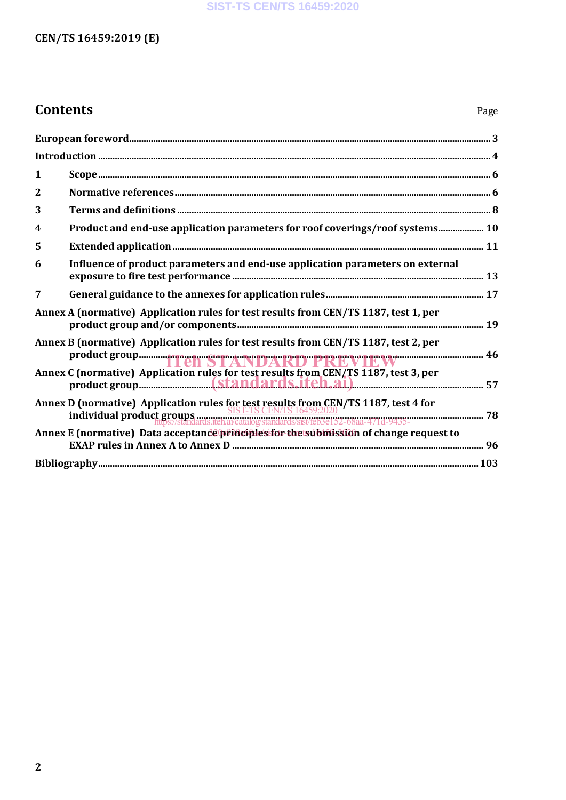#### **SIST-TS CEN/TS 16459:2020**

### **CEN/TS 16459:2019 (E)**

### **Contents** Page

| 1                                                                                                                                                                                                                                        |  |
|------------------------------------------------------------------------------------------------------------------------------------------------------------------------------------------------------------------------------------------|--|
| 2                                                                                                                                                                                                                                        |  |
| 3                                                                                                                                                                                                                                        |  |
| Product and end-use application parameters for roof coverings/roof systems 10<br>$\boldsymbol{4}$                                                                                                                                        |  |
| 5                                                                                                                                                                                                                                        |  |
| Influence of product parameters and end-use application parameters on external<br>6                                                                                                                                                      |  |
| 7                                                                                                                                                                                                                                        |  |
| Annex A (normative) Application rules for test results from CEN/TS 1187, test 1, per                                                                                                                                                     |  |
| Annex B (normative) Application rules for test results from CEN/TS 1187, test 2, per                                                                                                                                                     |  |
|                                                                                                                                                                                                                                          |  |
| Annex D (normative) Application rules for test results from CEN/TS 1187, test 4 for<br>individual product groups $\frac{\text{SIST-TS CEN/TS 16459:2020}}{\text{https://standards.iteh.a/catalogs/standards.755} \times \text{Stab.37}}$ |  |
| Annex E (normative) Data acceptance principles for the submission of change request to                                                                                                                                                   |  |
|                                                                                                                                                                                                                                          |  |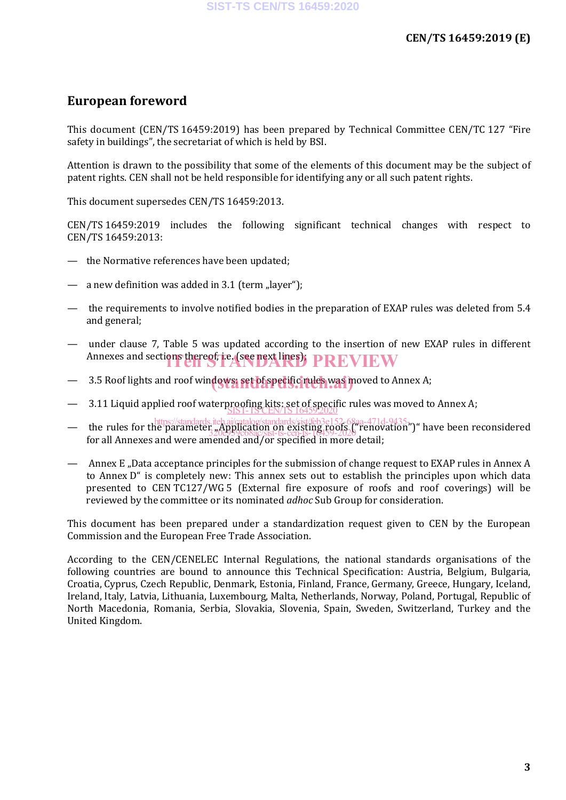#### **European foreword**

This document (CEN/TS 16459:2019) has been prepared by Technical Committee CEN/TC 127 "Fire safety in buildings", the secretariat of which is held by BSI.

Attention is drawn to the possibility that some of the elements of this document may be the subject of patent rights. CEN shall not be held responsible for identifying any or all such patent rights.

This document supersedes CEN/TS 16459:2013.

CEN/TS 16459:2019 includes the following significant technical changes with respect to CEN/TS 16459:2013:

- the Normative references have been updated;
- a new definition was added in  $3.1$  (term "layer");
- the requirements to involve notified bodies in the preparation of EXAP rules was deleted from 5.4 and general;
- under clause 7, Table 5 was updated according to the insertion of new EXAP rules in different Annexes and sections thereof, i.e. (see next lines); PREVIEW
- 3.5 Roof lights and roof windows: set of specific rules was moved to Annex A;
- 3.11 Liquid applied roof waterproofing kits: set of specific rules was moved to Annex A;<br>SIST-TS CEN/TS 16459:2020
- the rules for the parameter Application on existing roots ("renovation")" have been reconsidered for all Annexes and were amended and/or specified in more detail; https://standards.iteh.ai/catalog/standards/sist/feb3e152-68aa-471d-9435- 320e939c68ac/sist-ts-cen-ts-16459-2020
- Annex E ..Data acceptance principles for the submission of change request to EXAP rules in Annex A to Annex D" is completely new: This annex sets out to establish the principles upon which data presented to CEN TC127/WG 5 (External fire exposure of roofs and roof coverings) will be reviewed by the committee or its nominated *adhoc* Sub Group for consideration.

This document has been prepared under a standardization request given to CEN by the European Commission and the European Free Trade Association.

According to the CEN/CENELEC Internal Regulations, the national standards organisations of the following countries are bound to announce this Technical Specification: Austria, Belgium, Bulgaria, Croatia, Cyprus, Czech Republic, Denmark, Estonia, Finland, France, Germany, Greece, Hungary, Iceland, Ireland, Italy, Latvia, Lithuania, Luxembourg, Malta, Netherlands, Norway, Poland, Portugal, Republic of North Macedonia, Romania, Serbia, Slovakia, Slovenia, Spain, Sweden, Switzerland, Turkey and the United Kingdom.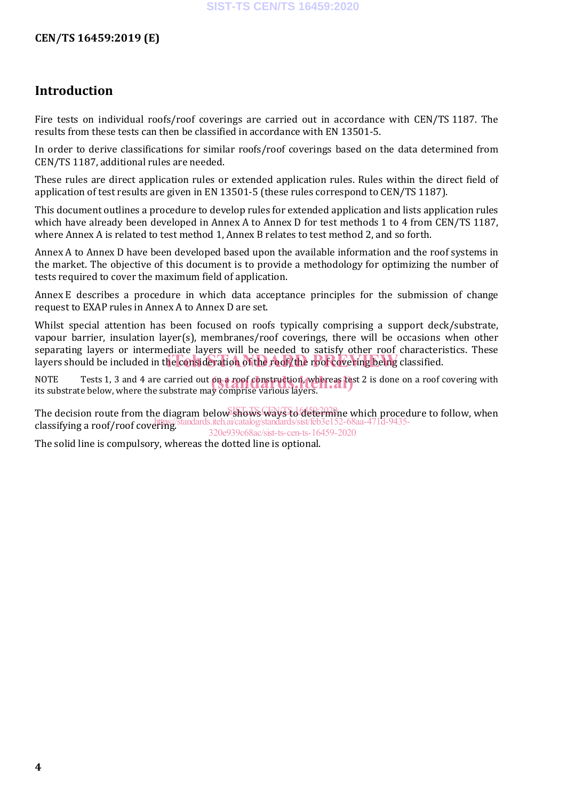### **Introduction**

Fire tests on individual roofs/roof coverings are carried out in accordance with CEN/TS 1187. The results from these tests can then be classified in accordance with EN 13501-5.

In order to derive classifications for similar roofs/roof coverings based on the data determined from CEN/TS 1187, additional rules are needed.

These rules are direct application rules or extended application rules. Rules within the direct field of application of test results are given in EN 13501-5 (these rules correspond to CEN/TS 1187).

This document outlines a procedure to develop rules for extended application and lists application rules which have already been developed in Annex A to Annex D for test methods 1 to 4 from CEN/TS 1187, where Annex A is related to test method 1, Annex B relates to test method 2, and so forth.

Annex A to Annex D have been developed based upon the available information and the roof systems in the market. The objective of this document is to provide a methodology for optimizing the number of tests required to cover the maximum field of application.

Annex E describes a procedure in which data acceptance principles for the submission of change request to EXAP rules in Annex A to Annex D are set.

Whilst special attention has been focused on roofs typically comprising a support deck/substrate, vapour barrier, insulation layer(s), membranes/roof coverings, there will be occasions when other separating layers or intermediate layers will be needed to satisfy other roof characteristics. These layers should be included in the consideration of the roof/the roof covering being classified.

NOTE Tests 1, 3 and 4 are carried out on a roof construction, whereas test 2 is done on a roof covering with its substrate below, where the substrate may comprise various lavers. its substrate below, where the substrate may comprise various layers.

The decision route from the diagram below shows ways to determine which procedure to follow, when classifying a roof/roof covering. https://standards.iteh.ai/catalog/standards/sist/feb3e152-68aa-471d-9435- 320e939c68ac/sist-ts-cen-ts-16459-2020

The solid line is compulsory, whereas the dotted line is optional.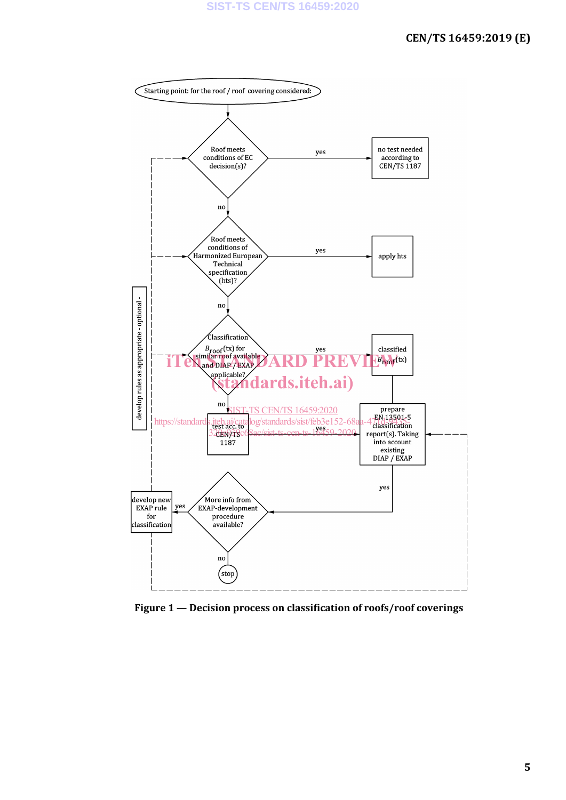

**Figure 1 — Decision process on classification of roofs/roof coverings**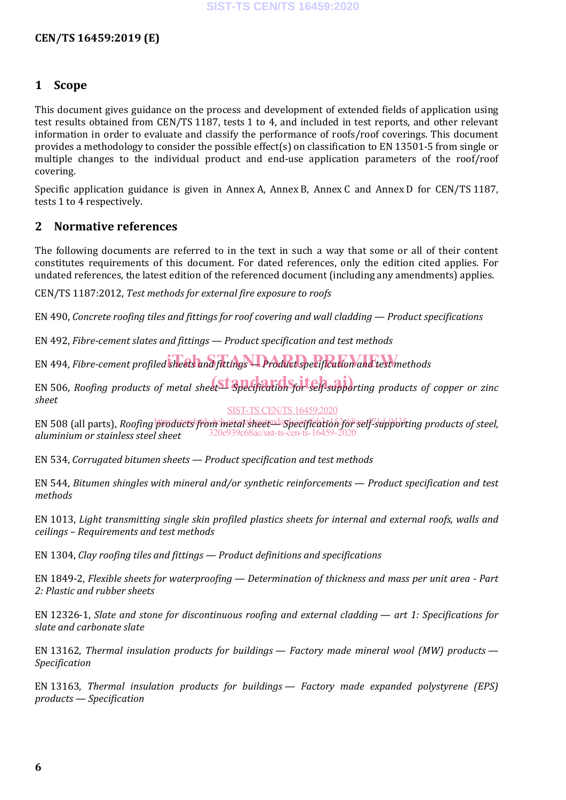#### **1 Scope**

This document gives guidance on the process and development of extended fields of application using test results obtained from CEN/TS 1187, tests 1 to 4, and included in test reports, and other relevant information in order to evaluate and classify the performance of roofs/roof coverings. This document provides a methodology to consider the possible effect(s) on classification to EN 13501-5 from single or multiple changes to the individual product and end-use application parameters of the roof/roof covering.

Specific application guidance is given in Annex A, Annex B, Annex C and Annex D for CEN/TS 1187, tests 1 to 4 respectively.

#### **2 Normative references**

The following documents are referred to in the text in such a way that some or all of their content constitutes requirements of this document. For dated references, only the edition cited applies. For undated references, the latest edition of the referenced document (including any amendments) applies.

CEN/TS 1187:2012, *Test methods for external fire exposure to roofs*

EN 490, *Concrete roofing tiles and fittings for roof covering and wall cladding — Product specifications*

EN 492, *Fibre-cement slates and fittings — Product specification and test methods*

EN 494, Fibre-cement profiled sheets and fittings **<sup>D</sup>roduct specification and test** methods

EN 506, *Roofing products of metal sheet* Specification for self-supporting products of copper or zinc *sheet*

#### SIST-TS CEN/TS 16459:2020

EN 508 (all parts), *Roofing products from metal sheet*—laspecification for self-supporting products of steel, *aluminium or stainless steel sheet* 320e939c68ac/sist-ts-cen-ts-16459-2020

EN 534, *Corrugated bitumen sheets — Product specification and test methods*

EN 544, *Bitumen shingles with mineral and/or synthetic reinforcements — Product specification and test methods*

EN 1013, *Light transmitting single skin profiled plastics sheets for internal and external roofs, walls and ceilings – Requirements and test methods*

EN 1304, *Clay roofing tiles and fittings — Product definitions and specifications*

EN 1849-2, *Flexible sheets for waterproofing — Determination of thickness and mass per unit area - Part 2: Plastic and rubber sheets*

EN 12326-1, *Slate and stone for discontinuous roofing and external cladding — art 1: Specifications for slate and carbonate slate*

EN 13162, *Thermal insulation products for buildings — Factory made mineral wool (MW) products — Specification*

EN 13163, *Thermal insulation products for buildings — Factory made expanded polystyrene (EPS) products — Specification*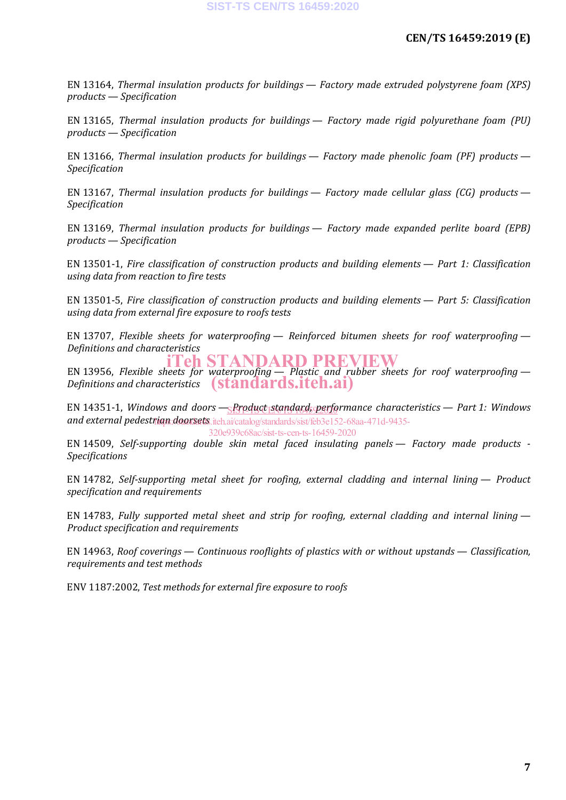EN 13164, *Thermal insulation products for buildings — Factory made extruded polystyrene foam (XPS) products — Specification*

EN 13165, *Thermal insulation products for buildings — Factory made rigid polyurethane foam (PU) products — Specification*

EN 13166, *Thermal insulation products for buildings — Factory made phenolic foam (PF) products — Specification*

EN 13167, *Thermal insulation products for buildings — Factory made cellular glass (CG) products — Specification*

EN 13169, *Thermal insulation products for buildings — Factory made expanded perlite board (EPB) products — Specification*

EN 13501-1, *Fire classification of construction products and building elements — Part 1: Classification using data from reaction to fire tests*

EN 13501-5, *Fire classification of construction products and building elements — Part 5: Classification using data from external fire exposure to roofs tests*

EN 13707, *Flexible sheets for waterproofing — Reinforced bitumen sheets for roof waterproofing — Definitions and characteristics*

EN 13956, *Flexible sheets for waterproofing — Plastic and rubber sheets for roof waterproofing — Definitions and characteristics* (standards.iteh.ai) iTeh STANDARD PREVIEW

EN 14351-1, Windows and doors <del>- <sub>S</sub>Product standard, perfo</del>rmance characteristics - Part 1: Windows and external pedestrian doorsets iteh.ai/catalog/standards/sist/feb3e152-68aa-471d-9435-

320e939c68ac/sist-ts-cen-ts-16459-2020

EN 14509, *Self-supporting double skin metal faced insulating panels — Factory made products - Specifications*

EN 14782, *Self-supporting metal sheet for roofing, external cladding and internal lining — Product specification and requirements*

EN 14783, *Fully supported metal sheet and strip for roofing, external cladding and internal lining — Product specification and requirements*

EN 14963, *Roof coverings — Continuous rooflights of plastics with or without upstands — Classification, requirements and test methods*

ENV 1187:2002, *Test methods for external fire exposure to roofs*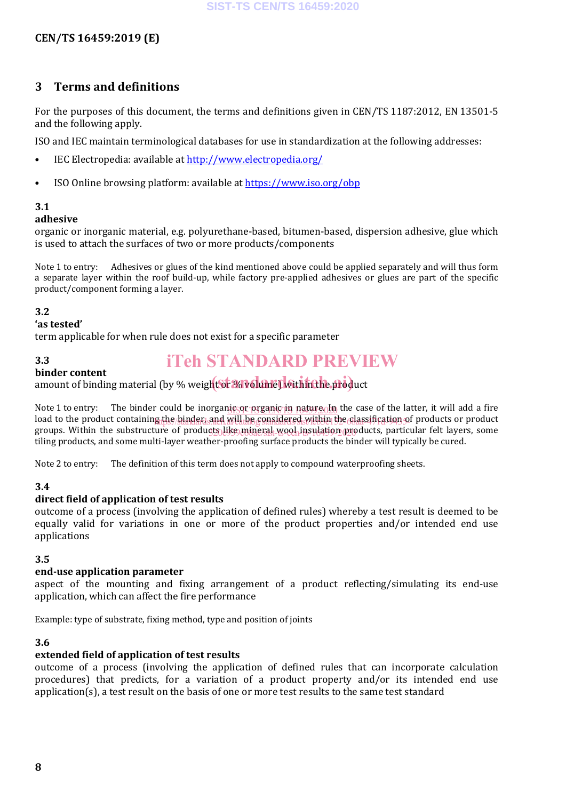#### **3 Terms and definitions**

For the purposes of this document, the terms and definitions given in CEN/TS 1187:2012, EN 13501-5 and the following apply.

ISO and IEC maintain terminological databases for use in standardization at the following addresses:

- IEC Electropedia: available at http://www.electropedia.org/
- ISO Online browsing platform: available at https://www.iso.org/obp

#### **3.1**

#### **adhesive**

organic or inorganic material, e.g. polyurethane-based, bitumen-based, dispersion adhesive, glue which is used to attach the surfaces of two or more products/components

Note 1 to entry: Adhesives or glues of the kind mentioned above could be applied separately and will thus form a separate layer within the roof build-up, while factory pre-applied adhesives or glues are part of the specific product/component forming a layer.

#### **3.2**

#### **'as tested'**

term applicable for when rule does not exist for a specific parameter

#### **3.3**

### iTeh STANDARD PREVIEW

#### **binder content**

**binder content**<br>amount of binding material (by % weigh<mark>t or % volume) within the pro</mark>duct

Note 1 to entry: The binder could be inorganic or preanic in nature. In the case of the latter, it will add a fire  $\frac{1}{2}$ load to the product containing the binder, and will be considered within the classification of products or product groups. Within the substructure of produc<u>ts like mineral wool insulation pr</u>oducts, particular felt layers, some tiling products, and some multi-layer weather-proofing surface products the binder will typically be cured.

Note 2 to entry: The definition of this term does not apply to compound waterproofing sheets.

#### **3.4**

#### **direct field of application of test results**

outcome of a process (involving the application of defined rules) whereby a test result is deemed to be equally valid for variations in one or more of the product properties and/or intended end use applications

#### **3.5**

#### **end-use application parameter**

aspect of the mounting and fixing arrangement of a product reflecting/simulating its end-use application, which can affect the fire performance

Example: type of substrate, fixing method, type and position of joints

#### **3.6**

#### **extended field of application of test results**

outcome of a process (involving the application of defined rules that can incorporate calculation procedures) that predicts, for a variation of a product property and/or its intended end use application(s), a test result on the basis of one or more test results to the same test standard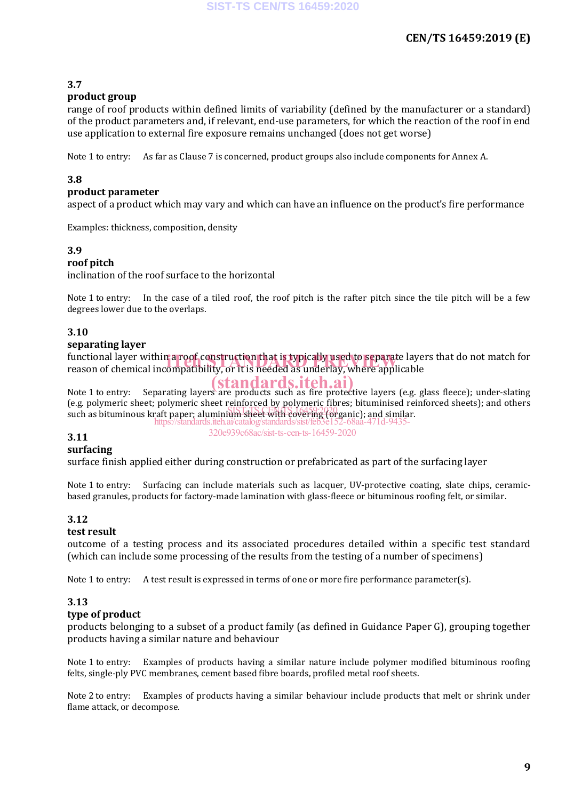#### **3.7**

#### **product group**

range of roof products within defined limits of variability (defined by the manufacturer or a standard) of the product parameters and, if relevant, end-use parameters, for which the reaction of the roof in end use application to external fire exposure remains unchanged (does not get worse)

Note 1 to entry: As far as Clause 7 is concerned, product groups also include components for Annex A.

#### **3.8**

#### **product parameter**

aspect of a product which may vary and which can have an influence on the product's fire performance

Examples: thickness, composition, density

#### **3.9**

#### **roof pitch**

inclination of the roof surface to the horizontal

Note 1 to entry: In the case of a tiled roof, the roof pitch is the rafter pitch since the tile pitch will be a few degrees lower due to the overlaps.

#### **3.10**

#### **separating layer**

functional layer within a roof construction that is typically used to separate layers that do not match for<br>reason of chemical incompatibility, or it is needed as underlay, where applicable reason of chemical incompatibility, or it is needed as underlay, where applicable

Note 1 to entry: Separating layers are products such as fire protective layers (e.g. glass fleece); under-slating (e.g. polymeric sheet; polymeric sheet reinforced by polymeric fibres; bituminised reinforced sheets); and others the polymeric sheet, polymeric sheet remoted by polymers, product is experimented to such as bituminous kraft paper; aluminium sheet with covering (organic); and similar. https://standards.iteh.ai/catalog/standards/sist/feb3e152-68aa-471d-9435-

#### **3.11**

#### **surfacing**

surface finish applied either during construction or prefabricated as part of the surfacing layer

320e939c68ac/sist-ts-cen-ts-16459-2020

Note 1 to entry: Surfacing can include materials such as lacquer, UV-protective coating, slate chips, ceramicbased granules, products for factory-made lamination with glass-fleece or bituminous roofing felt, or similar.

#### **3.12**

#### **test result**

outcome of a testing process and its associated procedures detailed within a specific test standard (which can include some processing of the results from the testing of a number of specimens)

Note 1 to entry: A test result is expressed in terms of one or more fire performance parameter(s).

#### **3.13**

#### **type of product**

products belonging to a subset of a product family (as defined in Guidance Paper G), grouping together products having a similar nature and behaviour

Note 1 to entry: Examples of products having a similar nature include polymer modified bituminous roofing felts, single-ply PVC membranes, cement based fibre boards, profiled metal roof sheets.

Note 2 to entry: Examples of products having a similar behaviour include products that melt or shrink under flame attack, or decompose.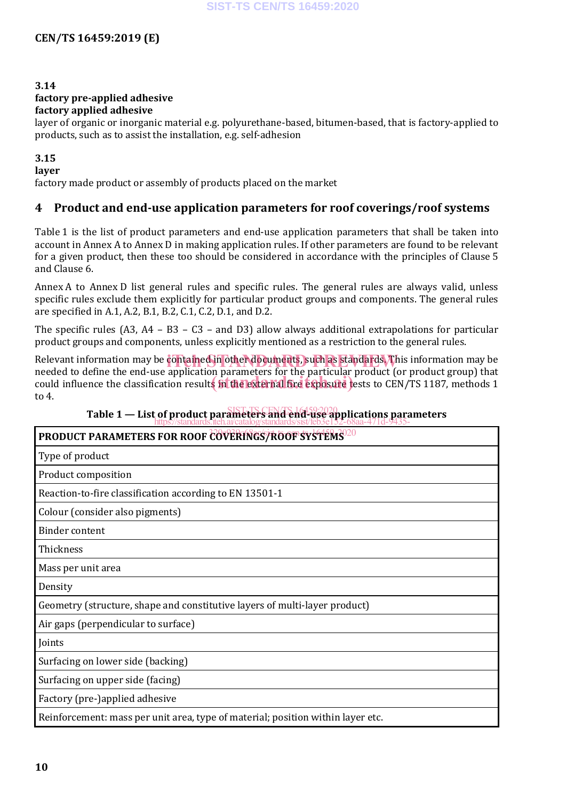#### **3.14 factory pre-applied adhesive factory applied adhesive**

layer of organic or inorganic material e.g. polyurethane-based, bitumen-based, that is factory-applied to products, such as to assist the installation, e.g. self-adhesion

#### **3.15**

#### **layer**

factory made product or assembly of products placed on the market

#### **4 Product and end-use application parameters for roof coverings/roof systems**

Table 1 is the list of product parameters and end-use application parameters that shall be taken into account in Annex A to Annex D in making application rules. If other parameters are found to be relevant for a given product, then these too should be considered in accordance with the principles of Clause 5 and Clause 6.

Annex A to Annex D list general rules and specific rules. The general rules are always valid, unless specific rules exclude them explicitly for particular product groups and components. The general rules are specified in A.1, A.2, B.1, B.2, C.1, C.2, D.1, and D.2.

The specific rules (A3,  $A4 - B3 - C3 -$  and D3) allow always additional extrapolations for particular product groups and components, unless explicitly mentioned as a restriction to the general rules.

Relevant information may be contained in other documents, such as standards. This information may be needed to define the end use annivation parameters for the particular product (or product group) that needed to define the end-use application parameters for the particular product (or product group) that needed to define the end-use application parameters for the particular product (or product group) that could influence the classification results in the external fire exposure jests to CEN/TS 1187, methods 1 to 4.

#### **Table 1 — List of product parameters and end-use applications parameters** https://standards.iteh.ai/catalog/standards/sist/feb3e152-68aa-471d-9435-

## PRODUCT PARAMETERS FOR ROOF <del>C</del>OVERINGS/ROOF SYSTEMS<sup>020</sup> Type of product Product composition Reaction-to-fire classification according to EN 13501-1 Colour (consider also pigments) Binder content Thickness Mass per unit area Density Geometry (structure, shape and constitutive layers of multi-layer product) Air gaps (perpendicular to surface) Joints Surfacing on lower side (backing) Surfacing on upper side (facing) Factory (pre-)applied adhesive Reinforcement: mass per unit area, type of material; position within layer etc.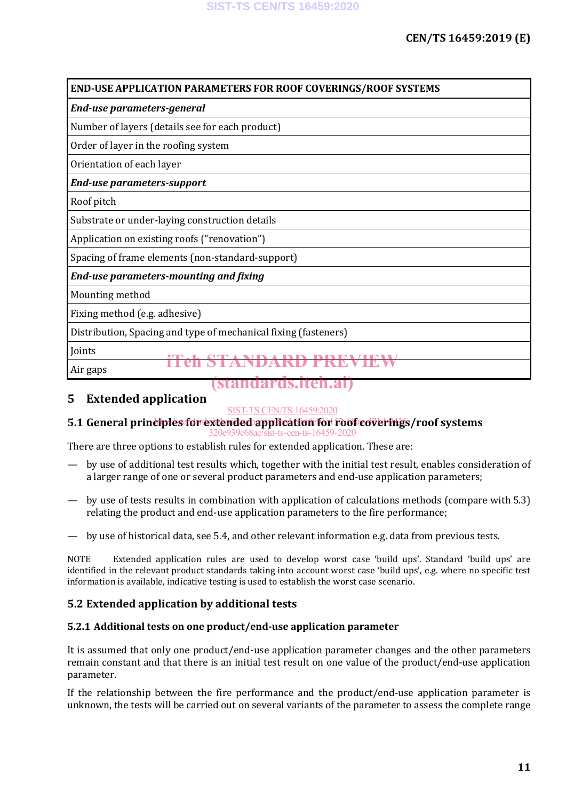| <b>END-USE APPLICATION PARAMETERS FOR ROOF COVERINGS/ROOF SYSTEMS</b> |  |  |  |  |
|-----------------------------------------------------------------------|--|--|--|--|
| End-use parameters-general                                            |  |  |  |  |
| Number of layers (details see for each product)                       |  |  |  |  |
| Order of layer in the roofing system                                  |  |  |  |  |
| Orientation of each layer                                             |  |  |  |  |
| <b>End-use parameters-support</b>                                     |  |  |  |  |
| Roof pitch                                                            |  |  |  |  |
| Substrate or under-laying construction details                        |  |  |  |  |
| Application on existing roofs ("renovation")                          |  |  |  |  |
| Spacing of frame elements (non-standard-support)                      |  |  |  |  |
| <b>End-use parameters-mounting and fixing</b>                         |  |  |  |  |
| Mounting method                                                       |  |  |  |  |
| Fixing method (e.g. adhesive)                                         |  |  |  |  |
| Distribution, Spacing and type of mechanical fixing (fasteners)       |  |  |  |  |
| Joints                                                                |  |  |  |  |
| Air gaps                                                              |  |  |  |  |

#### **5 Extended application** (standards.iteh.ai)

### SIST-TS CEN/TS 16459:2020

#### 5.1 General principles for extended application for roof coverings/roof systems 320e939c68ac/sist-ts-cen-ts-16459-2020

There are three options to establish rules for extended application. These are:

- by use of additional test results which, together with the initial test result, enables consideration of a larger range of one or several product parameters and end-use application parameters;
- by use of tests results in combination with application of calculations methods (compare with 5.3) relating the product and end-use application parameters to the fire performance;
- by use of historical data, see 5.4, and other relevant information e.g. data from previous tests.

NOTE Extended application rules are used to develop worst case 'build ups'. Standard 'build ups' are identified in the relevant product standards taking into account worst case 'build ups', e.g. where no specific test information is available, indicative testing is used to establish the worst case scenario.

#### **5.2 Extended application by additional tests**

#### **5.2.1 Additional tests on one product/end-use application parameter**

It is assumed that only one product/end-use application parameter changes and the other parameters remain constant and that there is an initial test result on one value of the product/end-use application parameter.

If the relationship between the fire performance and the product/end-use application parameter is unknown, the tests will be carried out on several variants of the parameter to assess the complete range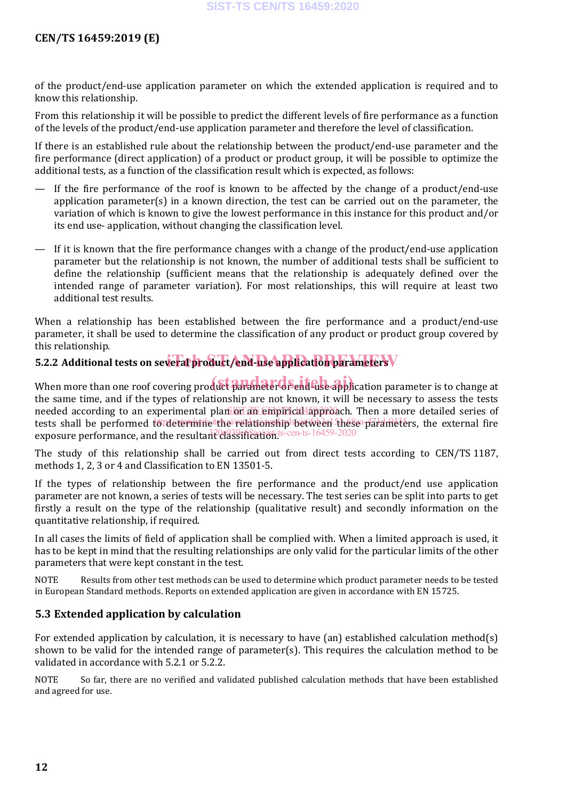of the product/end-use application parameter on which the extended application is required and to know this relationship.

From this relationship it will be possible to predict the different levels of fire performance as a function of the levels of the product/end-use application parameter and therefore the level of classification.

If there is an established rule about the relationship between the product/end-use parameter and the fire performance (direct application) of a product or product group, it will be possible to optimize the additional tests, as a function of the classification result which is expected, as follows:

- If the fire performance of the roof is known to be affected by the change of a product/end-use application parameter(s) in a known direction, the test can be carried out on the parameter, the variation of which is known to give the lowest performance in this instance for this product and/or its end use- application, without changing the classification level.
- If it is known that the fire performance changes with a change of the product/end-use application parameter but the relationship is not known, the number of additional tests shall be sufficient to define the relationship (sufficient means that the relationship is adequately defined over the intended range of parameter variation). For most relationships, this will require at least two additional test results.

When a relationship has been established between the fire performance and a product/end-use parameter, it shall be used to determine the classification of any product or product group covered by this relationship.

# 5.2.2 Additional tests on several product/end-use application parameters V

When more than one roof covering product parameter or end use application parameter is to change at the same time, and if the types of relationship are not known, it will be necessary to assess the tests needed according to an experimental plan or an empirical approach. Then a more detailed series of tests shall be performed to determine the relationship between these parameters, the external fire exposure performance, and the resultant classification <sup>ts-cen-ts-16459-2020</sup>

The study of this relationship shall be carried out from direct tests according to CEN/TS 1187, methods 1, 2, 3 or 4 and Classification to EN 13501-5.

If the types of relationship between the fire performance and the product/end use application parameter are not known, a series of tests will be necessary. The test series can be split into parts to get firstly a result on the type of the relationship (qualitative result) and secondly information on the quantitative relationship, if required.

In all cases the limits of field of application shall be complied with. When a limited approach is used, it has to be kept in mind that the resulting relationships are only valid for the particular limits of the other parameters that were kept constant in the test.

NOTE Results from other test methods can be used to determine which product parameter needs to be tested in European Standard methods. Reports on extended application are given in accordance with EN 15725.

#### **5.3 Extended application by calculation**

For extended application by calculation, it is necessary to have (an) established calculation method(s) shown to be valid for the intended range of parameter(s). This requires the calculation method to be validated in accordance with 5.2.1 or 5.2.2.

NOTE So far, there are no verified and validated published calculation methods that have been established and agreed for use.